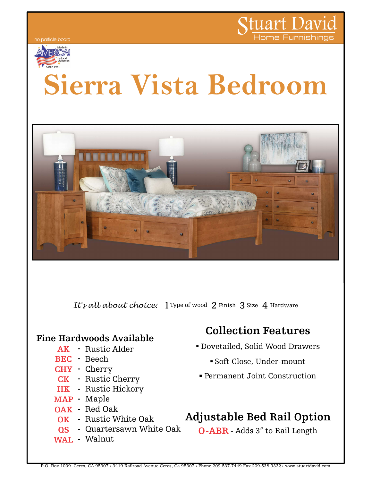



# Sierra Vista Bedroom



#### Fine Hardwoods Available

- AK Rustic Alder
- BEC Beech S
- CHY Cherry
- CK Rustic Cherry Permanent
- HK Rustic Hickory
- MAP Maple
- OAK Red Oak
- OK Rustic White Oak Adju
- **QS** Quartersawn White Oak
- WAL Walnut

# Collection Features **Collection Features**<br>• Dovetailed, Solid Wood Drawers

- ovetailed, Solid Wood Drawers<br>• Soft Close, Under-mount
- .Permanent Joint Construction
- 

## Rustic White Oak **Adjustable Bed Rail Option** |

Quartersawn White Oak **O-ABR** - Adds 3" to Rail Length

P.O. Box 1009 Ceres, CA 95307 3419 Railroad Avenue Ceres, Ca 95307 Phone 209.537.7449 Fax 209.538.9332 www.stuartdavid.com